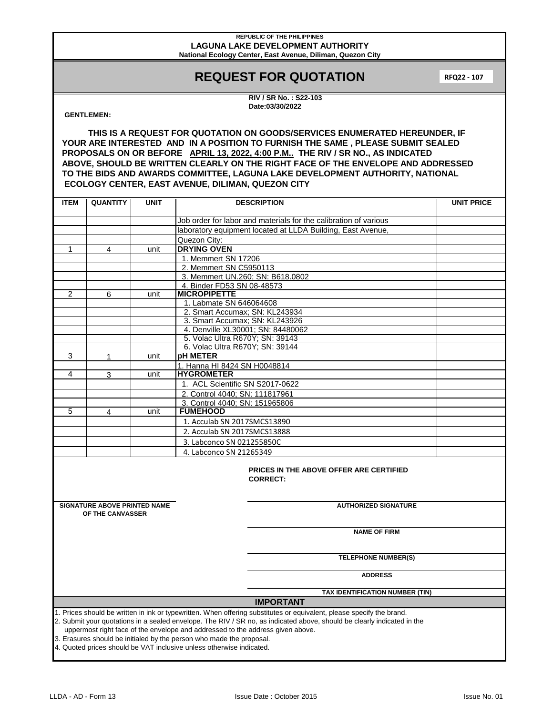# **REQUEST FOR QUOTATION**

**RFQ22 - 107**

**RIV / SR No. : S22-103 Date:03/30/2022**

### **GENTLEMEN:**

**THIS IS A REQUEST FOR QUOTATION ON GOODS/SERVICES ENUMERATED HEREUNDER, IF YOUR ARE INTERESTED AND IN A POSITION TO FURNISH THE SAME , PLEASE SUBMIT SEALED PROPOSALS ON OR BEFORE APRIL 13, 2022, 4:00 P.M.. THE RIV / SR NO., AS INDICATED ABOVE, SHOULD BE WRITTEN CLEARLY ON THE RIGHT FACE OF THE ENVELOPE AND ADDRESSED TO THE BIDS AND AWARDS COMMITTEE, LAGUNA LAKE DEVELOPMENT AUTHORITY, NATIONAL ECOLOGY CENTER, EAST AVENUE, DILIMAN, QUEZON CITY**

| <b>ITEM</b>                                                                                                                                                                                                                                                                                                                        | <b>QUANTITY</b>                                                      | <b>UNIT</b> | <b>DESCRIPTION</b>                                               | <b>UNIT PRICE</b> |  |
|------------------------------------------------------------------------------------------------------------------------------------------------------------------------------------------------------------------------------------------------------------------------------------------------------------------------------------|----------------------------------------------------------------------|-------------|------------------------------------------------------------------|-------------------|--|
|                                                                                                                                                                                                                                                                                                                                    |                                                                      |             | Job order for labor and materials for the calibration of various |                   |  |
|                                                                                                                                                                                                                                                                                                                                    |                                                                      |             | laboratory equipment located at LLDA Building, East Avenue,      |                   |  |
|                                                                                                                                                                                                                                                                                                                                    |                                                                      |             | Quezon City:                                                     |                   |  |
| 1                                                                                                                                                                                                                                                                                                                                  | 4                                                                    | unit        | <b>DRYING OVEN</b>                                               |                   |  |
|                                                                                                                                                                                                                                                                                                                                    |                                                                      |             | 1. Memmert SN 17206                                              |                   |  |
|                                                                                                                                                                                                                                                                                                                                    |                                                                      |             | 2. Memmert SN C5950113                                           |                   |  |
|                                                                                                                                                                                                                                                                                                                                    |                                                                      |             | 3. Memmert UN.260; SN: B618.0802                                 |                   |  |
|                                                                                                                                                                                                                                                                                                                                    |                                                                      |             | 4. Binder FD53 SN 08-48573                                       |                   |  |
| $\overline{2}$                                                                                                                                                                                                                                                                                                                     | 6                                                                    | unit        | <b>MICROPIPETTE</b>                                              |                   |  |
|                                                                                                                                                                                                                                                                                                                                    |                                                                      |             | 1. Labmate SN 646064608                                          |                   |  |
|                                                                                                                                                                                                                                                                                                                                    |                                                                      |             | 2. Smart Accumax; SN: KL243934                                   |                   |  |
|                                                                                                                                                                                                                                                                                                                                    |                                                                      |             | 3. Smart Accumax; SN: KL243926                                   |                   |  |
|                                                                                                                                                                                                                                                                                                                                    |                                                                      |             | 4. Denville XL30001; SN: 84480062                                |                   |  |
|                                                                                                                                                                                                                                                                                                                                    |                                                                      |             | 5. Volac Ultra R670Y; SN: 39143                                  |                   |  |
|                                                                                                                                                                                                                                                                                                                                    |                                                                      |             | 6. Volac Ultra R670Y; SN: 39144                                  |                   |  |
| 3                                                                                                                                                                                                                                                                                                                                  | $\mathbf{1}$                                                         | unit        | pH METER                                                         |                   |  |
|                                                                                                                                                                                                                                                                                                                                    |                                                                      |             | 1. Hanna HI 8424 SN H0048814                                     |                   |  |
| 4                                                                                                                                                                                                                                                                                                                                  | 3                                                                    | unit        | <b>HYGROMETER</b>                                                |                   |  |
|                                                                                                                                                                                                                                                                                                                                    |                                                                      |             | 1. ACL Scientific SN S2017-0622                                  |                   |  |
|                                                                                                                                                                                                                                                                                                                                    |                                                                      |             | 2. Control 4040; SN: 111817961<br>3. Control 4040; SN: 151965806 |                   |  |
| 5                                                                                                                                                                                                                                                                                                                                  | 4                                                                    | unit        | <b>FUMEHOOD</b>                                                  |                   |  |
|                                                                                                                                                                                                                                                                                                                                    |                                                                      |             | 1. Acculab SN 2017SMCS13890                                      |                   |  |
|                                                                                                                                                                                                                                                                                                                                    |                                                                      |             | 2. Acculab SN 2017SMCS13888                                      |                   |  |
|                                                                                                                                                                                                                                                                                                                                    |                                                                      |             | 3. Labconco SN 021255850C                                        |                   |  |
|                                                                                                                                                                                                                                                                                                                                    |                                                                      |             | 4. Labconco SN 21265349                                          |                   |  |
|                                                                                                                                                                                                                                                                                                                                    |                                                                      |             |                                                                  |                   |  |
|                                                                                                                                                                                                                                                                                                                                    |                                                                      |             | PRICES IN THE ABOVE OFFER ARE CERTIFIED                          |                   |  |
|                                                                                                                                                                                                                                                                                                                                    |                                                                      |             | <b>CORRECT:</b>                                                  |                   |  |
|                                                                                                                                                                                                                                                                                                                                    |                                                                      |             |                                                                  |                   |  |
|                                                                                                                                                                                                                                                                                                                                    |                                                                      |             |                                                                  |                   |  |
|                                                                                                                                                                                                                                                                                                                                    | <b>SIGNATURE ABOVE PRINTED NAME</b>                                  |             | <b>AUTHORIZED SIGNATURE</b>                                      |                   |  |
|                                                                                                                                                                                                                                                                                                                                    | OF THE CANVASSER                                                     |             |                                                                  |                   |  |
|                                                                                                                                                                                                                                                                                                                                    |                                                                      |             | <b>NAME OF FIRM</b>                                              |                   |  |
|                                                                                                                                                                                                                                                                                                                                    |                                                                      |             |                                                                  |                   |  |
|                                                                                                                                                                                                                                                                                                                                    |                                                                      |             |                                                                  |                   |  |
|                                                                                                                                                                                                                                                                                                                                    |                                                                      |             | <b>TELEPHONE NUMBER(S)</b>                                       |                   |  |
|                                                                                                                                                                                                                                                                                                                                    |                                                                      |             | <b>ADDRESS</b>                                                   |                   |  |
|                                                                                                                                                                                                                                                                                                                                    |                                                                      |             |                                                                  |                   |  |
|                                                                                                                                                                                                                                                                                                                                    |                                                                      |             | TAX IDENTIFICATION NUMBER (TIN)                                  |                   |  |
| <b>IMPORTANT</b>                                                                                                                                                                                                                                                                                                                   |                                                                      |             |                                                                  |                   |  |
| 1. Prices should be written in ink or typewritten. When offering substitutes or equivalent, please specify the brand.<br>2. Submit your quotations in a sealed envelope. The RIV / SR no, as indicated above, should be clearly indicated in the<br>uppermost right face of the envelope and addressed to the address given above. |                                                                      |             |                                                                  |                   |  |
|                                                                                                                                                                                                                                                                                                                                    | 3. Erasures should be initialed by the person who made the proposal. |             |                                                                  |                   |  |

4. Quoted prices should be VAT inclusive unless otherwise indicated.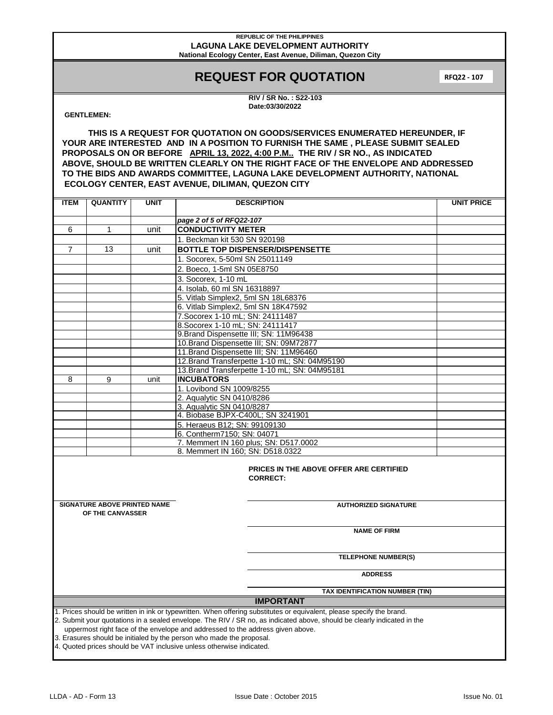# **REQUEST FOR QUOTATION**

**RFQ22 - 107**

**RIV / SR No. : S22-103 Date:03/30/2022**

### **GENTLEMEN:**

**THIS IS A REQUEST FOR QUOTATION ON GOODS/SERVICES ENUMERATED HEREUNDER, IF YOUR ARE INTERESTED AND IN A POSITION TO FURNISH THE SAME , PLEASE SUBMIT SEALED PROPOSALS ON OR BEFORE APRIL 13, 2022, 4:00 P.M.. THE RIV / SR NO., AS INDICATED ABOVE, SHOULD BE WRITTEN CLEARLY ON THE RIGHT FACE OF THE ENVELOPE AND ADDRESSED TO THE BIDS AND AWARDS COMMITTEE, LAGUNA LAKE DEVELOPMENT AUTHORITY, NATIONAL ECOLOGY CENTER, EAST AVENUE, DILIMAN, QUEZON CITY**

| <b>ITEM</b>                                                                                                                                                                                                                                                                                                                                                                                                                                                                      | <b>QUANTITY</b>                                                                        | <b>UNIT</b> | <b>DESCRIPTION</b>                                    | <b>UNIT PRICE</b> |  |  |
|----------------------------------------------------------------------------------------------------------------------------------------------------------------------------------------------------------------------------------------------------------------------------------------------------------------------------------------------------------------------------------------------------------------------------------------------------------------------------------|----------------------------------------------------------------------------------------|-------------|-------------------------------------------------------|-------------------|--|--|
|                                                                                                                                                                                                                                                                                                                                                                                                                                                                                  |                                                                                        |             |                                                       |                   |  |  |
|                                                                                                                                                                                                                                                                                                                                                                                                                                                                                  |                                                                                        |             | page 2 of 5 of RFQ22-107                              |                   |  |  |
| 6                                                                                                                                                                                                                                                                                                                                                                                                                                                                                | $\mathbf{1}$                                                                           | unit        | <b>CONDUCTIVITY METER</b>                             |                   |  |  |
|                                                                                                                                                                                                                                                                                                                                                                                                                                                                                  |                                                                                        |             | 1. Beckman kit 530 SN 920198                          |                   |  |  |
| $\overline{7}$                                                                                                                                                                                                                                                                                                                                                                                                                                                                   | 13                                                                                     | unit        | <b>BOTTLE TOP DISPENSER/DISPENSETTE</b>               |                   |  |  |
|                                                                                                                                                                                                                                                                                                                                                                                                                                                                                  |                                                                                        |             | 1. Socorex, 5-50ml SN 25011149                        |                   |  |  |
|                                                                                                                                                                                                                                                                                                                                                                                                                                                                                  |                                                                                        |             | 2. Boeco, 1-5ml SN 05E8750                            |                   |  |  |
|                                                                                                                                                                                                                                                                                                                                                                                                                                                                                  |                                                                                        |             | 3. Socorex, 1-10 mL                                   |                   |  |  |
|                                                                                                                                                                                                                                                                                                                                                                                                                                                                                  |                                                                                        |             | 4. Isolab, 60 ml SN 16318897                          |                   |  |  |
|                                                                                                                                                                                                                                                                                                                                                                                                                                                                                  |                                                                                        |             | 5. Vitlab Simplex2, 5ml SN 18L68376                   |                   |  |  |
|                                                                                                                                                                                                                                                                                                                                                                                                                                                                                  |                                                                                        |             | 6. Vitlab Simplex2, 5ml SN 18K47592                   |                   |  |  |
|                                                                                                                                                                                                                                                                                                                                                                                                                                                                                  |                                                                                        |             | 7. Socorex 1-10 mL; SN: 24111487                      |                   |  |  |
|                                                                                                                                                                                                                                                                                                                                                                                                                                                                                  |                                                                                        |             | 8. Socorex 1-10 mL; SN: 24111417                      |                   |  |  |
|                                                                                                                                                                                                                                                                                                                                                                                                                                                                                  |                                                                                        |             | 9. Brand Dispensette III; SN: 11M96438                |                   |  |  |
|                                                                                                                                                                                                                                                                                                                                                                                                                                                                                  |                                                                                        |             | 10. Brand Dispensette III; SN: 09M72877               |                   |  |  |
|                                                                                                                                                                                                                                                                                                                                                                                                                                                                                  |                                                                                        |             | 11. Brand Dispensette III; SN: 11M96460               |                   |  |  |
|                                                                                                                                                                                                                                                                                                                                                                                                                                                                                  |                                                                                        |             | 12. Brand Transferpette 1-10 mL; SN: 04M95190         |                   |  |  |
|                                                                                                                                                                                                                                                                                                                                                                                                                                                                                  |                                                                                        |             | 13. Brand Transferpette 1-10 mL; SN: 04M95181         |                   |  |  |
| 8                                                                                                                                                                                                                                                                                                                                                                                                                                                                                | 9                                                                                      | unit        | <b>INCUBATORS</b>                                     |                   |  |  |
|                                                                                                                                                                                                                                                                                                                                                                                                                                                                                  |                                                                                        |             | 1. Lovibond SN 1009/8255<br>2. Aqualytic SN 0410/8286 |                   |  |  |
|                                                                                                                                                                                                                                                                                                                                                                                                                                                                                  |                                                                                        |             | 3. Aqualytic SN 0410/8287                             |                   |  |  |
|                                                                                                                                                                                                                                                                                                                                                                                                                                                                                  |                                                                                        |             | 4. Biobase BJPX-C400L; SN 3241901                     |                   |  |  |
|                                                                                                                                                                                                                                                                                                                                                                                                                                                                                  |                                                                                        |             | 5. Heraeus B12; SN: 99109130                          |                   |  |  |
|                                                                                                                                                                                                                                                                                                                                                                                                                                                                                  |                                                                                        |             | 6. Contherm7150; SN: 04071                            |                   |  |  |
|                                                                                                                                                                                                                                                                                                                                                                                                                                                                                  |                                                                                        |             | 7. Memmert IN 160 plus; SN: D517.0002                 |                   |  |  |
|                                                                                                                                                                                                                                                                                                                                                                                                                                                                                  |                                                                                        |             | 8. Memmert IN 160: SN: D518.0322                      |                   |  |  |
|                                                                                                                                                                                                                                                                                                                                                                                                                                                                                  | PRICES IN THE ABOVE OFFER ARE CERTIFIED<br><b>CORRECT:</b>                             |             |                                                       |                   |  |  |
|                                                                                                                                                                                                                                                                                                                                                                                                                                                                                  | <b>SIGNATURE ABOVE PRINTED NAME</b><br><b>AUTHORIZED SIGNATURE</b><br>OF THE CANVASSER |             |                                                       |                   |  |  |
|                                                                                                                                                                                                                                                                                                                                                                                                                                                                                  |                                                                                        |             | <b>NAME OF FIRM</b>                                   |                   |  |  |
|                                                                                                                                                                                                                                                                                                                                                                                                                                                                                  |                                                                                        |             | <b>TELEPHONE NUMBER(S)</b>                            |                   |  |  |
|                                                                                                                                                                                                                                                                                                                                                                                                                                                                                  |                                                                                        |             | <b>ADDRESS</b>                                        |                   |  |  |
|                                                                                                                                                                                                                                                                                                                                                                                                                                                                                  |                                                                                        |             | TAX IDENTIFICATION NUMBER (TIN)                       |                   |  |  |
| <b>IMPORTANT</b>                                                                                                                                                                                                                                                                                                                                                                                                                                                                 |                                                                                        |             |                                                       |                   |  |  |
| 1. Prices should be written in ink or typewritten. When offering substitutes or equivalent, please specify the brand.<br>2. Submit your quotations in a sealed envelope. The RIV / SR no, as indicated above, should be clearly indicated in the<br>uppermost right face of the envelope and addressed to the address given above.<br>3. Erasures should be initialed by the person who made the proposal.<br>A Queted prices should be VAT inclusive unless otherwise indicated |                                                                                        |             |                                                       |                   |  |  |

s should be VAT inclusive unless otherwise indic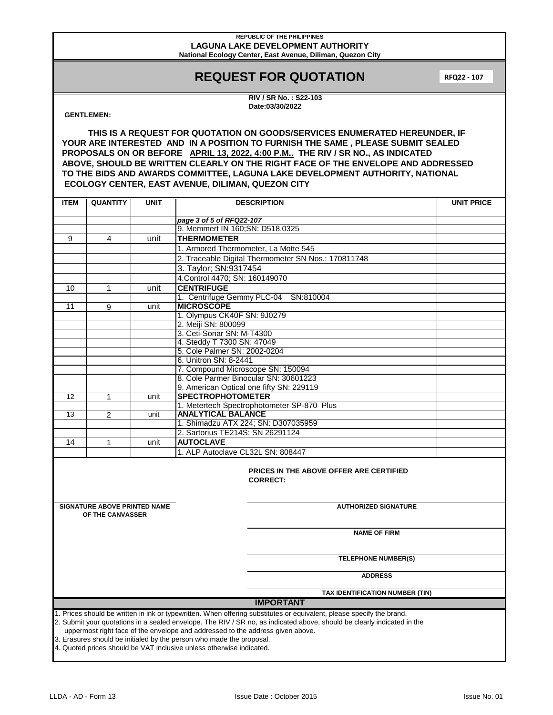# **REQUEST FOR QUOTATION**

**RFQ22 - 107**

**RIV / SR No. : S22-103 Date:03/30/2022**

### **GENTLEMEN:**

**THIS IS A REQUEST FOR QUOTATION ON GOODS/SERVICES ENUMERATED HEREUNDER, IF YOUR ARE INTERESTED AND IN A POSITION TO FURNISH THE SAME , PLEASE SUBMIT SEALED PROPOSALS ON OR BEFORE APRIL 13, 2022, 4:00 P.M.. THE RIV / SR NO., AS INDICATED ABOVE, SHOULD BE WRITTEN CLEARLY ON THE RIGHT FACE OF THE ENVELOPE AND ADDRESSED TO THE BIDS AND AWARDS COMMITTEE, LAGUNA LAKE DEVELOPMENT AUTHORITY, NATIONAL ECOLOGY CENTER, EAST AVENUE, DILIMAN, QUEZON CITY**

| <b>ITEM</b>                                                                                                             | <b>QUANTITY</b>                                                      | <b>UNIT</b> | <b>DESCRIPTION</b>                                           | <b>UNIT PRICE</b> |  |
|-------------------------------------------------------------------------------------------------------------------------|----------------------------------------------------------------------|-------------|--------------------------------------------------------------|-------------------|--|
|                                                                                                                         |                                                                      |             |                                                              |                   |  |
|                                                                                                                         |                                                                      |             | page 3 of 5 of RFQ22-107<br>9. Memmert IN 160; SN: D518.0325 |                   |  |
|                                                                                                                         | 4                                                                    |             | <b>THERMOMETER</b>                                           |                   |  |
| 9                                                                                                                       |                                                                      | unit        |                                                              |                   |  |
|                                                                                                                         |                                                                      |             | 1. Armored Thermometer, La Motte 545                         |                   |  |
|                                                                                                                         |                                                                      |             | 2. Traceable Digital Thermometer SN Nos.: 170811748          |                   |  |
|                                                                                                                         |                                                                      |             | 3. Taylor; SN:9317454                                        |                   |  |
|                                                                                                                         |                                                                      |             | 4. Control 4470; SN: 160149070                               |                   |  |
| 10                                                                                                                      | $\mathbf{1}$                                                         | unit        | <b>CENTRIFUGE</b>                                            |                   |  |
|                                                                                                                         |                                                                      |             | 1. Centrifuge Gemmy PLC-04 SN:810004                         |                   |  |
| 11                                                                                                                      | 9                                                                    | unit        | <b>MICROSCOPE</b>                                            |                   |  |
|                                                                                                                         |                                                                      |             | 1. Olympus CK40F SN: 9J0279                                  |                   |  |
|                                                                                                                         |                                                                      |             | 2. Meiji SN: 800099                                          |                   |  |
|                                                                                                                         |                                                                      |             | 3. Ceti-Sonar SN: M-T4300                                    |                   |  |
|                                                                                                                         |                                                                      |             | 4. Steddy T 7300 SN: 47049                                   |                   |  |
|                                                                                                                         |                                                                      |             | 5. Cole Palmer SN: 2002-0204                                 |                   |  |
|                                                                                                                         |                                                                      |             | 6. Unitron SN: 8-2441                                        |                   |  |
|                                                                                                                         |                                                                      |             | 7. Compound Microscope SN: 150094                            |                   |  |
|                                                                                                                         |                                                                      |             | 8. Cole Parmer Binocular SN: 30601223                        |                   |  |
|                                                                                                                         |                                                                      |             | 9. American Optical one fifty SN: 229119                     |                   |  |
| 12                                                                                                                      | $\mathbf{1}$                                                         | unit        | <b>SPECTROPHOTOMETER</b>                                     |                   |  |
|                                                                                                                         |                                                                      |             | 1. Metertech Spectrophotometer SP-870 Plus                   |                   |  |
| 13                                                                                                                      | $\overline{2}$                                                       | unit        | <b>ANALYTICAL BALANCE</b>                                    |                   |  |
|                                                                                                                         |                                                                      |             | 1. Shimadzu ATX 224; SN: D307035959                          |                   |  |
|                                                                                                                         |                                                                      |             | 2. Sartorius TE214S; SN 26291124                             |                   |  |
| 14                                                                                                                      | 1                                                                    | unit        | <b>AUTOCLAVE</b>                                             |                   |  |
|                                                                                                                         |                                                                      |             | 1. ALP Autoclave CL32L SN: 808447                            |                   |  |
| PRICES IN THE ABOVE OFFER ARE CERTIFIED<br><b>CORRECT:</b>                                                              |                                                                      |             |                                                              |                   |  |
|                                                                                                                         | <b>SIGNATURE ABOVE PRINTED NAME</b>                                  |             | <b>AUTHORIZED SIGNATURE</b>                                  |                   |  |
|                                                                                                                         | OF THE CANVASSER                                                     |             |                                                              |                   |  |
|                                                                                                                         |                                                                      |             |                                                              |                   |  |
|                                                                                                                         |                                                                      |             | <b>NAME OF FIRM</b>                                          |                   |  |
|                                                                                                                         |                                                                      |             |                                                              |                   |  |
|                                                                                                                         |                                                                      |             | <b>TELEPHONE NUMBER(S)</b>                                   |                   |  |
|                                                                                                                         |                                                                      |             |                                                              |                   |  |
|                                                                                                                         |                                                                      |             | <b>ADDRESS</b>                                               |                   |  |
| TAX IDENTIFICATION NUMBER (TIN)                                                                                         |                                                                      |             |                                                              |                   |  |
| <b>IMPORTANT</b>                                                                                                        |                                                                      |             |                                                              |                   |  |
| 1. Prices should be written in ink or typewritten. When offering substitutes or equivalent, please specify the brand.   |                                                                      |             |                                                              |                   |  |
| 2. Submit your quotations in a sealed envelope. The RIV / SR no, as indicated above, should be clearly indicated in the |                                                                      |             |                                                              |                   |  |
| uppermost right face of the envelope and addressed to the address given above.                                          |                                                                      |             |                                                              |                   |  |
|                                                                                                                         | 3. Erasures should be initialed by the person who made the proposal. |             |                                                              |                   |  |
|                                                                                                                         | 4. Quoted prices should be VAT inclusive unless otherwise indicated. |             |                                                              |                   |  |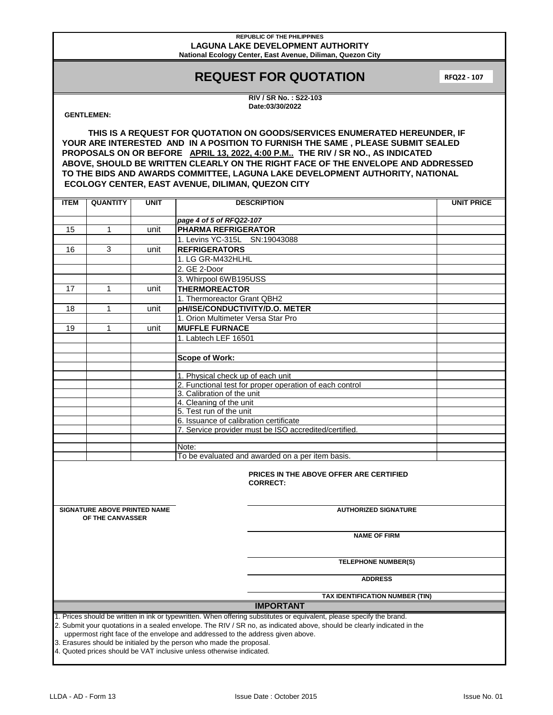# **REQUEST FOR QUOTATION**

**RFQ22 - 107**

**RIV / SR No. : S22-103 Date:03/30/2022**

## **GENTLEMEN:**

**THIS IS A REQUEST FOR QUOTATION ON GOODS/SERVICES ENUMERATED HEREUNDER, IF YOUR ARE INTERESTED AND IN A POSITION TO FURNISH THE SAME , PLEASE SUBMIT SEALED PROPOSALS ON OR BEFORE APRIL 13, 2022, 4:00 P.M.. THE RIV / SR NO., AS INDICATED ABOVE, SHOULD BE WRITTEN CLEARLY ON THE RIGHT FACE OF THE ENVELOPE AND ADDRESSED TO THE BIDS AND AWARDS COMMITTEE, LAGUNA LAKE DEVELOPMENT AUTHORITY, NATIONAL ECOLOGY CENTER, EAST AVENUE, DILIMAN, QUEZON CITY**

| <b>ITEM</b>                                                                                                                                                                                               | <b>QUANTITY</b>                                            | <b>UNIT</b> | <b>DESCRIPTION</b>                                          | <b>UNIT PRICE</b> |  |
|-----------------------------------------------------------------------------------------------------------------------------------------------------------------------------------------------------------|------------------------------------------------------------|-------------|-------------------------------------------------------------|-------------------|--|
|                                                                                                                                                                                                           |                                                            |             |                                                             |                   |  |
|                                                                                                                                                                                                           | $\mathbf{1}$                                               |             | page 4 of 5 of RFQ22-107                                    |                   |  |
| 15                                                                                                                                                                                                        |                                                            | unit        | <b>PHARMA REFRIGERATOR</b><br>1. Levins YC-315L SN:19043088 |                   |  |
| 16                                                                                                                                                                                                        | 3                                                          | unit        | <b>REFRIGERATORS</b>                                        |                   |  |
|                                                                                                                                                                                                           |                                                            |             | 1. LG GR-M432HLHL                                           |                   |  |
|                                                                                                                                                                                                           |                                                            |             | 2. GE 2-Door                                                |                   |  |
|                                                                                                                                                                                                           |                                                            |             | 3. Whirpool 6WB195USS                                       |                   |  |
|                                                                                                                                                                                                           | 1                                                          |             | <b>THERMOREACTOR</b>                                        |                   |  |
| 17                                                                                                                                                                                                        |                                                            | unit        |                                                             |                   |  |
|                                                                                                                                                                                                           |                                                            |             | 1. Thermoreactor Grant QBH2                                 |                   |  |
| 18                                                                                                                                                                                                        | 1                                                          | unit        | <b>pH/ISE/CONDUCTIVITY/D.O. METER</b>                       |                   |  |
|                                                                                                                                                                                                           |                                                            |             | 1. Orion Multimeter Versa Star Pro                          |                   |  |
| 19                                                                                                                                                                                                        | 1                                                          | unit        | <b>MUFFLE FURNACE</b>                                       |                   |  |
|                                                                                                                                                                                                           |                                                            |             | 1. Labtech LEF 16501                                        |                   |  |
|                                                                                                                                                                                                           |                                                            |             |                                                             |                   |  |
|                                                                                                                                                                                                           |                                                            |             | Scope of Work:                                              |                   |  |
|                                                                                                                                                                                                           |                                                            |             | 1. Physical check up of each unit                           |                   |  |
|                                                                                                                                                                                                           |                                                            |             | 2. Functional test for proper operation of each control     |                   |  |
|                                                                                                                                                                                                           |                                                            |             | 3. Calibration of the unit                                  |                   |  |
|                                                                                                                                                                                                           |                                                            |             | 4. Cleaning of the unit                                     |                   |  |
|                                                                                                                                                                                                           |                                                            |             | 5. Test run of the unit                                     |                   |  |
|                                                                                                                                                                                                           |                                                            |             | 6. Issuance of calibration certificate                      |                   |  |
|                                                                                                                                                                                                           |                                                            |             | 7. Service provider must be ISO accredited/certified.       |                   |  |
|                                                                                                                                                                                                           |                                                            |             |                                                             |                   |  |
|                                                                                                                                                                                                           |                                                            |             | Note:                                                       |                   |  |
|                                                                                                                                                                                                           |                                                            |             | To be evaluated and awarded on a per item basis.            |                   |  |
|                                                                                                                                                                                                           | PRICES IN THE ABOVE OFFER ARE CERTIFIED<br><b>CORRECT:</b> |             |                                                             |                   |  |
|                                                                                                                                                                                                           | <b>SIGNATURE ABOVE PRINTED NAME</b>                        |             | <b>AUTHORIZED SIGNATURE</b>                                 |                   |  |
|                                                                                                                                                                                                           | OF THE CANVASSER                                           |             |                                                             |                   |  |
|                                                                                                                                                                                                           |                                                            |             | <b>NAME OF FIRM</b>                                         |                   |  |
|                                                                                                                                                                                                           |                                                            |             | <b>TELEPHONE NUMBER(S)</b>                                  |                   |  |
|                                                                                                                                                                                                           |                                                            |             |                                                             |                   |  |
|                                                                                                                                                                                                           |                                                            |             | <b>ADDRESS</b>                                              |                   |  |
|                                                                                                                                                                                                           | TAX IDENTIFICATION NUMBER (TIN)                            |             |                                                             |                   |  |
| <b>IMPORTANT</b>                                                                                                                                                                                          |                                                            |             |                                                             |                   |  |
| 1. Prices should be written in ink or typewritten. When offering substitutes or equivalent, please specify the brand.                                                                                     |                                                            |             |                                                             |                   |  |
| 2. Submit your quotations in a sealed envelope. The RIV / SR no, as indicated above, should be clearly indicated in the<br>uppermost right face of the envelope and addressed to the address given above. |                                                            |             |                                                             |                   |  |
|                                                                                                                                                                                                           |                                                            |             |                                                             |                   |  |
| 3. Erasures should be initialed by the person who made the proposal.<br>4. Quoted prices should be VAT inclusive unless otherwise indicated.                                                              |                                                            |             |                                                             |                   |  |